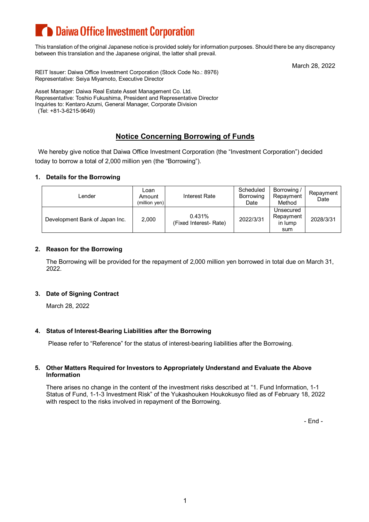# **Comparison Daiwa Office Investment Corporation**

This translation of the original Japanese notice is provided solely for information purposes. Should there be any discrepancy between this translation and the Japanese original, the latter shall prevail.

March 28, 2022

REIT Issuer: Daiwa Office Investment Corporation (Stock Code No.: 8976) Representative: Seiya Miyamoto, Executive Director

Asset Manager: Daiwa Real Estate Asset Management Co. Ltd. Representative: Toshio Fukushima, President and Representative Director Inquiries to: Kentaro Azumi, General Manager, Corporate Division (Tel: +81-3-6215-9649)

## **Notice Concerning Borrowing of Funds**

We hereby give notice that Daiwa Office Investment Corporation (the "Investment Corporation") decided today to borrow a total of 2,000 million yen (the "Borrowing").

#### **1. Details for the Borrowing**

| _ender                         | Loan<br>Amount<br>(million yen) | Interest Rate                    | Scheduled<br>Borrowing<br>Date | Borrowing /<br>Repayment<br>Method       | Repayment<br>Date |
|--------------------------------|---------------------------------|----------------------------------|--------------------------------|------------------------------------------|-------------------|
| Development Bank of Japan Inc. | 2,000                           | 0.431%<br>(Fixed Interest- Rate) | 2022/3/31                      | Unsecured<br>Repayment<br>in lump<br>sum | 2028/3/31         |

#### **2. Reason for the Borrowing**

The Borrowing will be provided for the repayment of 2,000 million yen borrowed in total due on March 31, 2022.

#### **3. Date of Signing Contract**

March 28, 2022

#### **4. Status of Interest-Bearing Liabilities after the Borrowing**

Please refer to "Reference" for the status of interest-bearing liabilities after the Borrowing.

#### **5. Other Matters Required for Investors to Appropriately Understand and Evaluate the Above Information**

There arises no change in the content of the investment risks described at "1. Fund Information, 1-1 Status of Fund, 1-1-3 Investment Risk" of the Yukashouken Houkokusyo filed as of February 18, 2022 with respect to the risks involved in repayment of the Borrowing.

- End -